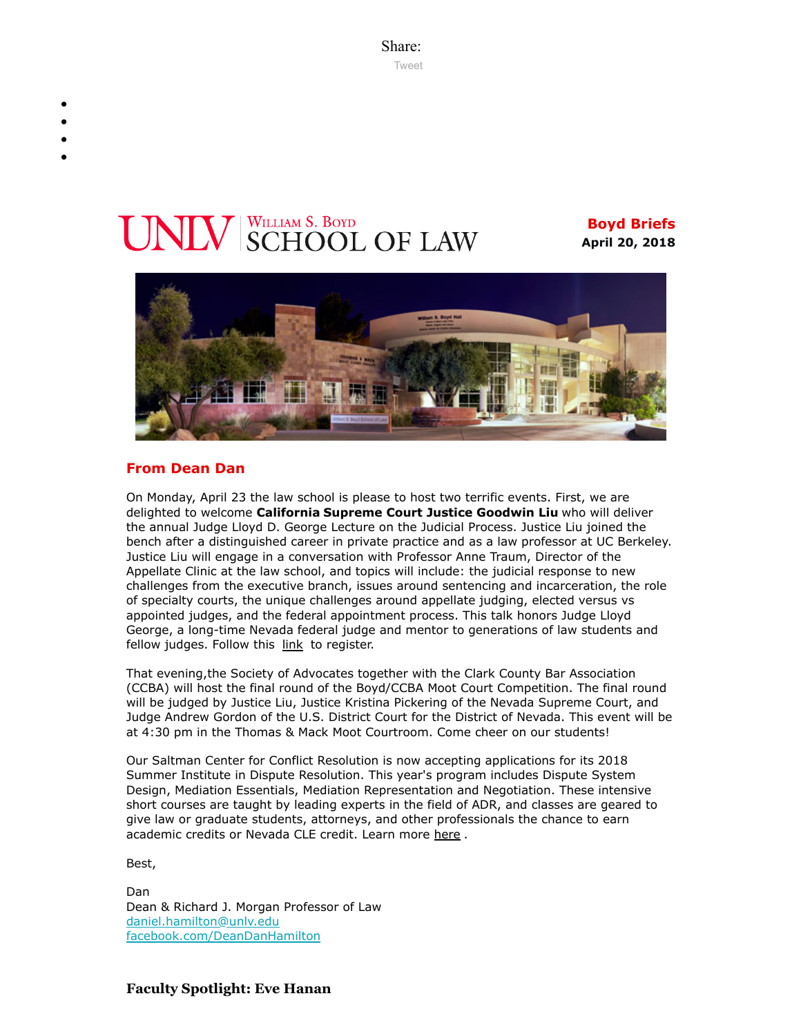Share: [Tweet](https://twitter.com/intent/tweet?ref_src=twsrc%5Etfw&text=Boyd%20Briefs&tw_p=tweetbutton&url=file%3A%2F%2F%2FC%3A%2FUsers%2FElizabeth%2520Manriquez%2FAppData%2FLocal%2FTemp%2FTemp1_boyd-briefs.zip%2Fboyd-briefs%2Femail-BoydBriefs-2018-04-20.html)

# **INIV** SCHOOL OF LAW

**Boyd Briefs April 20, 2018**



# **From Dean Dan**

On Monday, April 23 the law school is please to host two terrific events. First, we are delighted to welcome **California Supreme Court Justice Goodwin Liu** who will deliver the annual Judge Lloyd D. George Lecture on the Judicial Process. Justice Liu joined the bench after a distinguished career in private practice and as a law professor at UC Berkeley. Justice Liu will engage in a conversation with Professor Anne Traum, Director of the Appellate Clinic at the law school, and topics will include: the judicial response to new challenges from the executive branch, issues around sentencing and incarceration, the role of specialty courts, the unique challenges around appellate judging, elected versus vs appointed judges, and the federal appointment process. This talk honors Judge Lloyd George, a long-time Nevada federal judge and mentor to generations of law students and fellow judges. Follow this [link](https://law.unlv.edu/event/judge-lloyd-d-george-lecture-judicial-process-justice-goodwin-liu) to register.

That evening,the Society of Advocates together with the Clark County Bar Association (CCBA) will host the final round of the Boyd/CCBA Moot Court Competition. The final round will be judged by Justice Liu, Justice Kristina Pickering of the Nevada Supreme Court, and Judge Andrew Gordon of the U.S. District Court for the District of Nevada. This event will be at 4:30 pm in the Thomas & Mack Moot Courtroom. Come cheer on our students!

Our Saltman Center for Conflict Resolution is now accepting applications for its 2018 Summer Institute in Dispute Resolution. This year's program includes Dispute System Design, Mediation Essentials, Mediation Representation and Negotiation. These intensive short courses are taught by leading experts in the field of ADR, and classes are geared to give law or graduate students, attorneys, and other professionals the chance to earn academic credits or Nevada CLE credit. Learn more [here](https://law.unlv.edu/saltman-center/curriculum/summer-institute).

Best,

Dan Dean & Richard J. Morgan Professor of Law [daniel.hamilton@unlv.edu](mailto:daniel.hamilton@unlv.edu) [facebook.com/DeanDanHamilton](https://www.facebook.com/DeanDanHamilton)

# **Faculty Spotlight: Eve Hanan**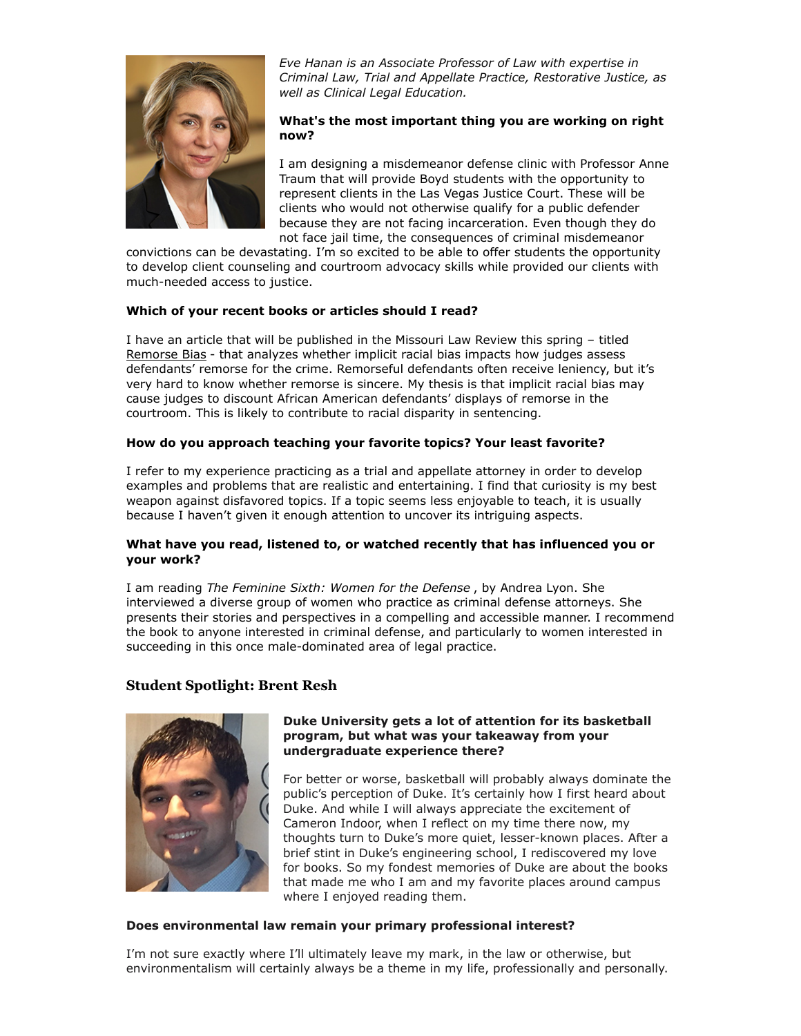

*Eve Hanan is an Associate Professor of Law with expertise in Criminal Law, Trial and Appellate Practice, Restorative Justice, as well as Clinical Legal Education.*

# **What's the most important thing you are working on right now?**

I am designing a misdemeanor defense clinic with Professor Anne Traum that will provide Boyd students with the opportunity to represent clients in the Las Vegas Justice Court. These will be clients who would not otherwise qualify for a public defender because they are not facing incarceration. Even though they do not face jail time, the consequences of criminal misdemeanor

convictions can be devastating. I'm so excited to be able to offer students the opportunity to develop client counseling and courtroom advocacy skills while provided our clients with much-needed access to justice.

# **Which of your recent books or articles should I read?**

I have an article that will be published in the Missouri Law Review this spring – titled [Remorse Bias](https://papers.ssrn.com/sol3/papers.cfm?abstract_id=3079788) - that analyzes whether implicit racial bias impacts how judges assess defendants' remorse for the crime. Remorseful defendants often receive leniency, but it's very hard to know whether remorse is sincere. My thesis is that implicit racial bias may cause judges to discount African American defendants' displays of remorse in the courtroom. This is likely to contribute to racial disparity in sentencing.

# **How do you approach teaching your favorite topics? Your least favorite?**

I refer to my experience practicing as a trial and appellate attorney in order to develop examples and problems that are realistic and entertaining. I find that curiosity is my best weapon against disfavored topics. If a topic seems less enjoyable to teach, it is usually because I haven't given it enough attention to uncover its intriguing aspects.

#### **What have you read, listened to, or watched recently that has influenced you or your work?**

I am reading *The Feminine Sixth: Women for the Defense* , by Andrea Lyon. She interviewed a diverse group of women who practice as criminal defense attorneys. She presents their stories and perspectives in a compelling and accessible manner. I recommend the book to anyone interested in criminal defense, and particularly to women interested in succeeding in this once male-dominated area of legal practice.

# **Student Spotlight: Brent Resh**



#### **Duke University gets a lot of attention for its basketball program, but what was your takeaway from your undergraduate experience there?**

For better or worse, basketball will probably always dominate the public's perception of Duke. It's certainly how I first heard about Duke. And while I will always appreciate the excitement of Cameron Indoor, when I reflect on my time there now, my thoughts turn to Duke's more quiet, lesser-known places. After a brief stint in Duke's engineering school, I rediscovered my love for books. So my fondest memories of Duke are about the books that made me who I am and my favorite places around campus where I enjoyed reading them.

#### **Does environmental law remain your primary professional interest?**

I'm not sure exactly where I'll ultimately leave my mark, in the law or otherwise, but environmentalism will certainly always be a theme in my life, professionally and personally.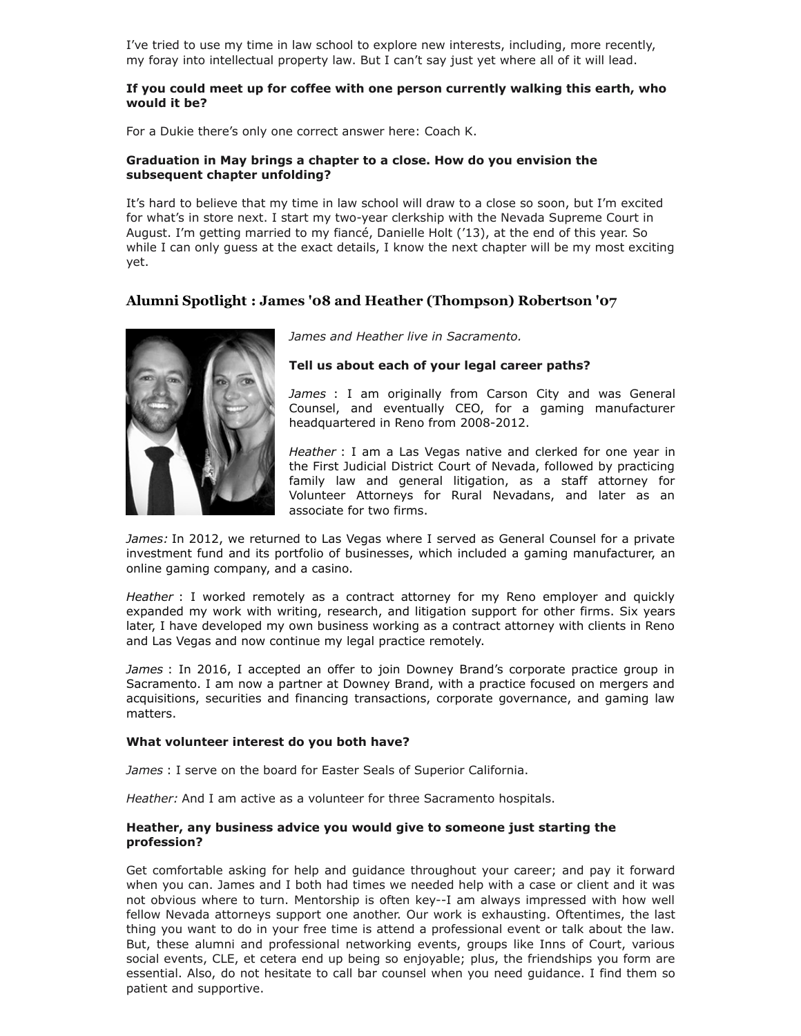I've tried to use my time in law school to explore new interests, including, more recently, my foray into intellectual property law. But I can't say just yet where all of it will lead.

#### **If you could meet up for coffee with one person currently walking this earth, who would it be?**

For a Dukie there's only one correct answer here: Coach K.

#### **Graduation in May brings a chapter to a close. How do you envision the subsequent chapter unfolding?**

It's hard to believe that my time in law school will draw to a close so soon, but I'm excited for what's in store next. I start my two-year clerkship with the Nevada Supreme Court in August. I'm getting married to my fiancé, Danielle Holt ('13), at the end of this year. So while I can only guess at the exact details, I know the next chapter will be my most exciting yet.

# **Alumni Spotlight : James '08 and Heather (Thompson) Robertson '07**



*James and Heather live in Sacramento.*

**Tell us about each of your legal career paths?**

*James* : I am originally from Carson City and was General Counsel, and eventually CEO, for a gaming manufacturer headquartered in Reno from 2008-2012.

*Heather* : I am a Las Vegas native and clerked for one year in the First Judicial District Court of Nevada, followed by practicing family law and general litigation, as a staff attorney for Volunteer Attorneys for Rural Nevadans, and later as an associate for two firms.

*James:* In 2012, we returned to Las Vegas where I served as General Counsel for a private investment fund and its portfolio of businesses, which included a gaming manufacturer, an online gaming company, and a casino.

*Heather* : I worked remotely as a contract attorney for my Reno employer and quickly expanded my work with writing, research, and litigation support for other firms. Six years later, I have developed my own business working as a contract attorney with clients in Reno and Las Vegas and now continue my legal practice remotely.

*James* : In 2016, I accepted an offer to join Downey Brand's corporate practice group in Sacramento. I am now a partner at Downey Brand, with a practice focused on mergers and acquisitions, securities and financing transactions, corporate governance, and gaming law matters.

#### **What volunteer interest do you both have?**

*James* : I serve on the board for Easter Seals of Superior California.

*Heather:* And I am active as a volunteer for three Sacramento hospitals.

#### **Heather, any business advice you would give to someone just starting the profession?**

Get comfortable asking for help and guidance throughout your career; and pay it forward when you can. James and I both had times we needed help with a case or client and it was not obvious where to turn. Mentorship is often key--I am always impressed with how well fellow Nevada attorneys support one another. Our work is exhausting. Oftentimes, the last thing you want to do in your free time is attend a professional event or talk about the law. But, these alumni and professional networking events, groups like Inns of Court, various social events, CLE, et cetera end up being so enjoyable; plus, the friendships you form are essential. Also, do not hesitate to call bar counsel when you need guidance. I find them so patient and supportive.